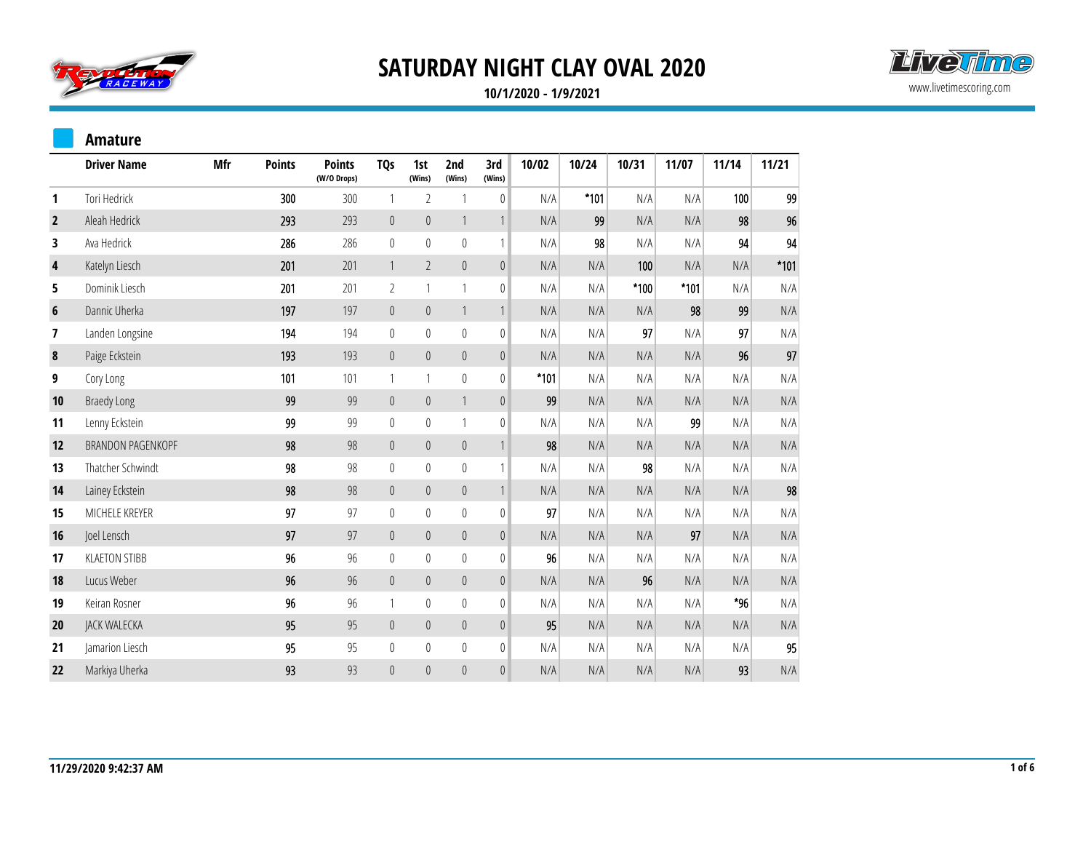



**10/1/2020 - 1/9/2021**

#### **Amature**

|                | <b>Driver Name</b>   | <b>Mfr</b> | <b>Points</b> | <b>Points</b><br>(W/O Drops) | TQ <sub>S</sub>  | 1st<br>(Wins)    | 2nd<br>(Wins) | 3rd<br>(Wins)    | 10/02  | 10/24  | 10/31  | 11/07  | 11/14 | 11/21                   |
|----------------|----------------------|------------|---------------|------------------------------|------------------|------------------|---------------|------------------|--------|--------|--------|--------|-------|-------------------------|
| 1              | Tori Hedrick         |            | 300           | 300                          | $\mathbf{1}$     | 2                | 1             | $\pmb{0}$        | N/A    | $*101$ | N/A    | N/A    | 100   | 99                      |
| $\overline{2}$ | Aleah Hedrick        |            | 293           | 293                          | $\theta$         | $\overline{0}$   | $\mathbf{1}$  | $\mathbf{1}$     | N/A    | 99     | N/A    | N/A    | 98    | 96                      |
| 3              | Ava Hedrick          |            | 286           | 286                          | $\boldsymbol{0}$ | $\mathbb O$      | $\mathbb O$   | $\mathbf{1}$     | N/A    | 98     | N/A    | N/A    | 94    | 94                      |
| 4              | Katelyn Liesch       |            | 201           | 201                          | $\mathbf{1}$     | $\overline{2}$   | $\mathbf{0}$  | $\mathbb O$      | N/A    | N/A    | 100    | N/A    | N/A   | $*101$                  |
| 5              | Dominik Liesch       |            | 201           | 201                          | $\overline{2}$   |                  | $\mathbf{1}$  | $\mathbf{0}$     | N/A    | N/A    | $*100$ | $*101$ | N/A   | N/A                     |
| $6\phantom{1}$ | Dannic Uherka        |            | 197           | 197                          | $\pmb{0}$        | $\boldsymbol{0}$ | $\mathbf{1}$  | $\mathbf{1}$     | N/A    | N/A    | N/A    | 98     | 99    | N/A                     |
| 7              | Landen Longsine      |            | 194           | 194                          | $\pmb{0}$        | $\mathbf 0$      | $\mathbf 0$   | $\mathbf 0$      | N/A    | N/A    | 97     | N/A    | 97    | N/A                     |
| 8              | Paige Eckstein       |            | 193           | 193                          | $\pmb{0}$        | $\pmb{0}$        | $\mathbf{0}$  | $\boldsymbol{0}$ | N/A    | N/A    | N/A    | N/A    | 96    | 97                      |
| 9              | Cory Long            |            | 101           | 101                          | $\mathbf{1}$     | 1                | $\mathbb O$   | $\mathbb{0}$     | $*101$ | N/A    | N/A    | N/A    | N/A   | N/A                     |
| 10             | <b>Braedy Long</b>   |            | 99            | 99                           | $\mathbb O$      | $\mathbb O$      | $\mathbf{1}$  | $\mathbb O$      | 99     | N/A    | N/A    | N/A    | N/A   | N/A                     |
| 11             | Lenny Eckstein       |            | 99            | 99                           | $\mathbb O$      | $\mathbf 0$      | $\mathbf{1}$  | $\pmb{0}$        | N/A    | N/A    | N/A    | 99     | N/A   | N/A                     |
| 12             | BRANDON PAGENKOPF    |            | 98            | 98                           | $\pmb{0}$        | $\pmb{0}$        | $\theta$      | $\mathbf{1}$     | 98     | N/A    | N/A    | N/A    | N/A   | N/A                     |
| 13             | Thatcher Schwindt    |            | 98            | 98                           | $\boldsymbol{0}$ | $\mathbb O$      | $\mathbb O$   | $\mathbf{1}$     | N/A    | N/A    | 98     | N/A    | N/A   | N/A                     |
| 14             | Lainey Eckstein      |            | 98            | 98                           | $\boldsymbol{0}$ | $\pmb{0}$        | $\mathbf 0$   | $\mathbf{1}$     | N/A    | N/A    | N/A    | N/A    | N/A   | 98                      |
| 15             | MICHELE KREYER       |            | 97            | 97                           | $\mathbb O$      | $\mathbf 0$      | $\mathbb O$   | $\boldsymbol{0}$ | 97     | N/A    | N/A    | N/A    | N/A   | N/A                     |
| 16             | Joel Lensch          |            | 97            | 97                           | $\mathbb O$      | $\boldsymbol{0}$ | $\mathbf{0}$  | $\mathbb O$      | N/A    | N/A    | N/A    | 97     | N/A   | N/A                     |
| 17             | <b>KLAETON STIBB</b> |            | 96            | 96                           | $\bf{0}$         | $\mathbf{0}$     | $\mathbf 0$   | $\mathbf 0$      | 96     | N/A    | N/A    | N/A    | N/A   | N/A                     |
| 18             | Lucus Weber          |            | 96            | 96                           | $\mathbb O$      | $\boldsymbol{0}$ | $\mathbf 0$   | $\mathbb O$      | N/A    | N/A    | 96     | N/A    | N/A   | N/A                     |
| 19             | Keiran Rosner        |            | 96            | 96                           | $\mathbf{1}$     | $\mathbf{0}$     | $\mathbb O$   | $\mathbf 0$      | N/A    | N/A    | N/A    | N/A    | *96   | N/A                     |
| 20             | JACK WALECKA         |            | 95            | 95                           | $\mathbb O$      | $\overline{0}$   | $\mathbf 0$   | $\mathbf 0$      | 95     | N/A    | N/A    | N/A    | N/A   | N/A                     |
| 21             | Jamarion Liesch      |            | 95            | 95                           | $\boldsymbol{0}$ | $\mathbf 0$      | $\bf{0}$      | $\pmb{0}$        | N/A    | N/A    | N/A    | N/A    | N/A   | 95                      |
| 22             | Markiya Uherka       |            | 93            | 93                           | $\pmb{0}$        | $\mathbf{0}$     | $\mathbf 0$   | $\mathbf 0$      | N/A    | N/A    | N/A    | N/A    | 93    | $\mathsf{N}/\mathsf{A}$ |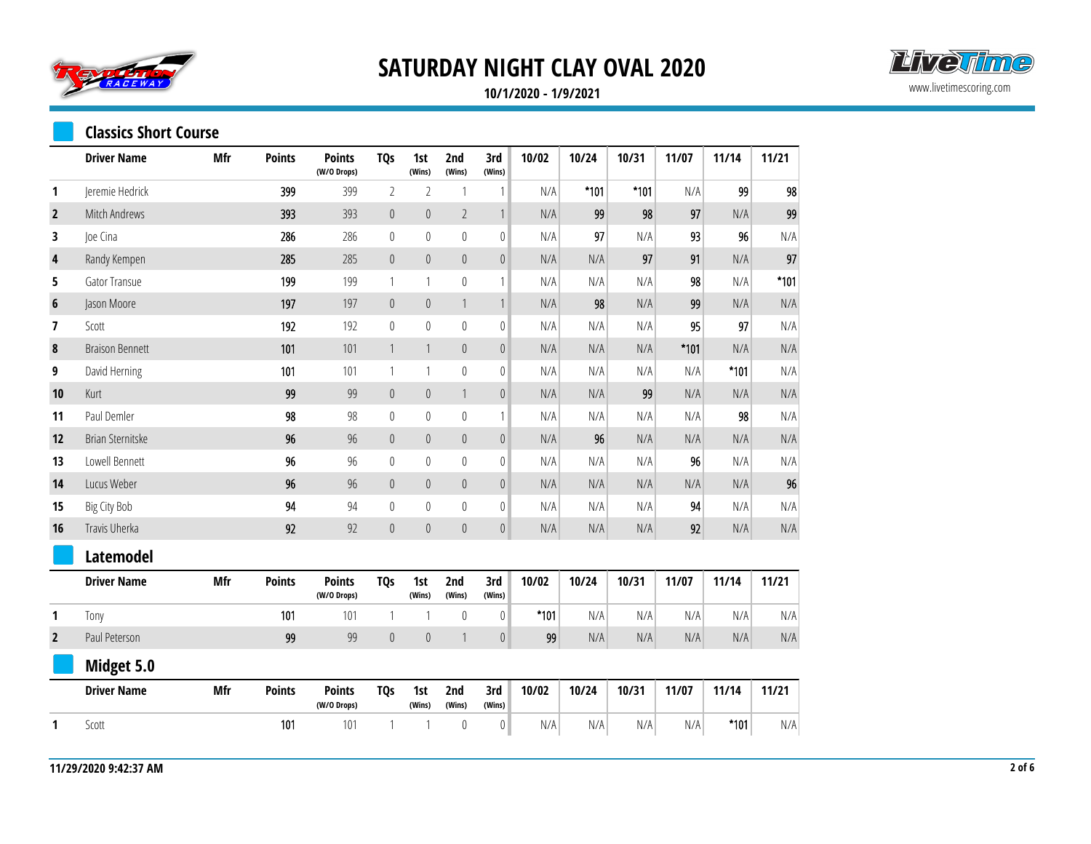



**10/1/2020 - 1/9/2021**

#### **Classics Short Course**

|                | <b>Driver Name</b>     | <b>Mfr</b> | <b>Points</b> | <b>Points</b><br>(W/O Drops) | <b>TQs</b>                | 1st<br>(Wins)  | 2nd<br>(Wins)  | 3rd<br>(Wins)    | 10/02  | 10/24  | 10/31  | 11/07  | 11/14  | 11/21  |
|----------------|------------------------|------------|---------------|------------------------------|---------------------------|----------------|----------------|------------------|--------|--------|--------|--------|--------|--------|
| 1              | Jeremie Hedrick        |            | 399           | 399                          | $\sqrt{2}$                | $\overline{2}$ | 1              | 1                | N/A    | $*101$ | $*101$ | N/A    | 99     | 98     |
| $\mathbf{2}$   | Mitch Andrews          |            | 393           | 393                          | $\mathbb O$               | $\mathbf{0}$   | $\overline{2}$ | $\mathbf{1}$     | N/A    | 99     | 98     | 97     | N/A    | 99     |
| 3              | Joe Cina               |            | 286           | 286                          | $\boldsymbol{0}$          | $\mathbb O$    | $\mathbf 0$    | $\mathbf{0}$     | N/A    | 97     | N/A    | 93     | 96     | N/A    |
| 4              | Randy Kempen           |            | 285           | 285                          | $\mathbb O$               | $\mathbb O$    | $\mathbb O$    | $\boldsymbol{0}$ | N/A    | N/A    | 97     | 91     | N/A    | 97     |
| 5              | Gator Transue          |            | 199           | 199                          | $\mathbf{1}$              | $\mathbf{1}$   | $\theta$       | 1                | N/A    | N/A    | N/A    | 98     | N/A    | $*101$ |
| 6              | Jason Moore            |            | 197           | 197                          | $\boldsymbol{0}$          | $\pmb{0}$      | 1              | $\mathbf{1}$     | N/A    | 98     | N/A    | 99     | N/A    | N/A    |
| 7              | Scott                  |            | 192           | 192                          | $\boldsymbol{0}$          | $\mathbb O$    | $\mathbf{0}$   | $\mathbf{0}$     | N/A    | N/A    | N/A    | 95     | 97     | N/A    |
| $\pmb{8}$      | <b>Braison Bennett</b> |            | 101           | 101                          | $\ensuremath{\mathsf{1}}$ | $\mathbf{1}$   | $\theta$       | $\mathbf 0$      | N/A    | N/A    | N/A    | $*101$ | N/A    | N/A    |
| 9              | David Herning          |            | 101           | 101                          | $\mathbf{1}$              | $\mathbf{1}$   | $\mathbf{0}$   | $\mathbf{0}$     | N/A    | N/A    | N/A    | N/A    | $*101$ | N/A    |
| 10             | Kurt                   |            | 99            | 99                           | $\mathbb O$               | $\pmb{0}$      | 1              | $\pmb{0}$        | N/A    | N/A    | 99     | N/A    | N/A    | N/A    |
| 11             | Paul Demler            |            | 98            | 98                           | $\pmb{0}$                 | $\mathbf 0$    | $\mathbf{0}$   | 1                | N/A    | N/A    | N/A    | N/A    | 98     | N/A    |
| 12             | Brian Sternitske       |            | 96            | 96                           | $\mathbb O$               | $\mathbb O$    | $\theta$       | $\mathbf 0$      | N/A    | 96     | N/A    | N/A    | N/A    | N/A    |
| 13             | Lowell Bennett         |            | 96            | 96                           | $\pmb{0}$                 | $\mathbf 0$    | $\theta$       | $\mathbf{0}$     | N/A    | N/A    | N/A    | 96     | N/A    | N/A    |
| 14             | Lucus Weber            |            | 96            | 96                           | $\theta$                  | $\mathbf{0}$   | $\theta$       | $\mathbf{0}$     | N/A    | N/A    | N/A    | N/A    | N/A    | 96     |
| 15             | <b>Big City Bob</b>    |            | 94            | 94                           | $\mathbb O$               | $\mathbf 0$    | $\mathbf{0}$   | $\boldsymbol{0}$ | N/A    | N/A    | N/A    | 94     | N/A    | N/A    |
| 16             | Travis Uherka          |            | 92            | 92                           | $\mathbb O$               | $\mathbb O$    | $\pmb{0}$      | $\mathbf{0}$     | N/A    | N/A    | N/A    | 92     | N/A    | N/A    |
|                | <b>Latemodel</b>       |            |               |                              |                           |                |                |                  |        |        |        |        |        |        |
|                | <b>Driver Name</b>     | Mfr        | <b>Points</b> | <b>Points</b><br>(W/O Drops) | <b>TQs</b>                | 1st<br>(Wins)  | 2nd<br>(Wins)  | 3rd<br>(Wins)    | 10/02  | 10/24  | 10/31  | 11/07  | 11/14  | 11/21  |
| 1              | Tony                   |            | 101           | 101                          | 1                         | 1              | $\mathbf{0}$   | $\mathbf{0}$     | $*101$ | N/A    | N/A    | N/A    | N/A    | N/A    |
| $\overline{2}$ | Paul Peterson          |            | 99            | 99                           | $\mathbf 0$               | $\mathbf{0}$   | $\mathbf{1}$   | $\mathbf 0$      | 99     | N/A    | N/A    | N/A    | N/A    | N/A    |
|                | Midget 5.0             |            |               |                              |                           |                |                |                  |        |        |        |        |        |        |
|                | <b>Driver Name</b>     | Mfr        | <b>Points</b> | <b>Points</b><br>(W/O Drops) | <b>TQs</b>                | 1st<br>(Wins)  | 2nd<br>(Wins)  | 3rd<br>(Wins)    | 10/02  | 10/24  | 10/31  | 11/07  | 11/14  | 11/21  |
| 1              | Scott                  |            | 101           | 101                          | 1                         | 1              | $\theta$       | $\boldsymbol{0}$ | N/A    | N/A    | N/A    | N/A    | $*101$ | N/A    |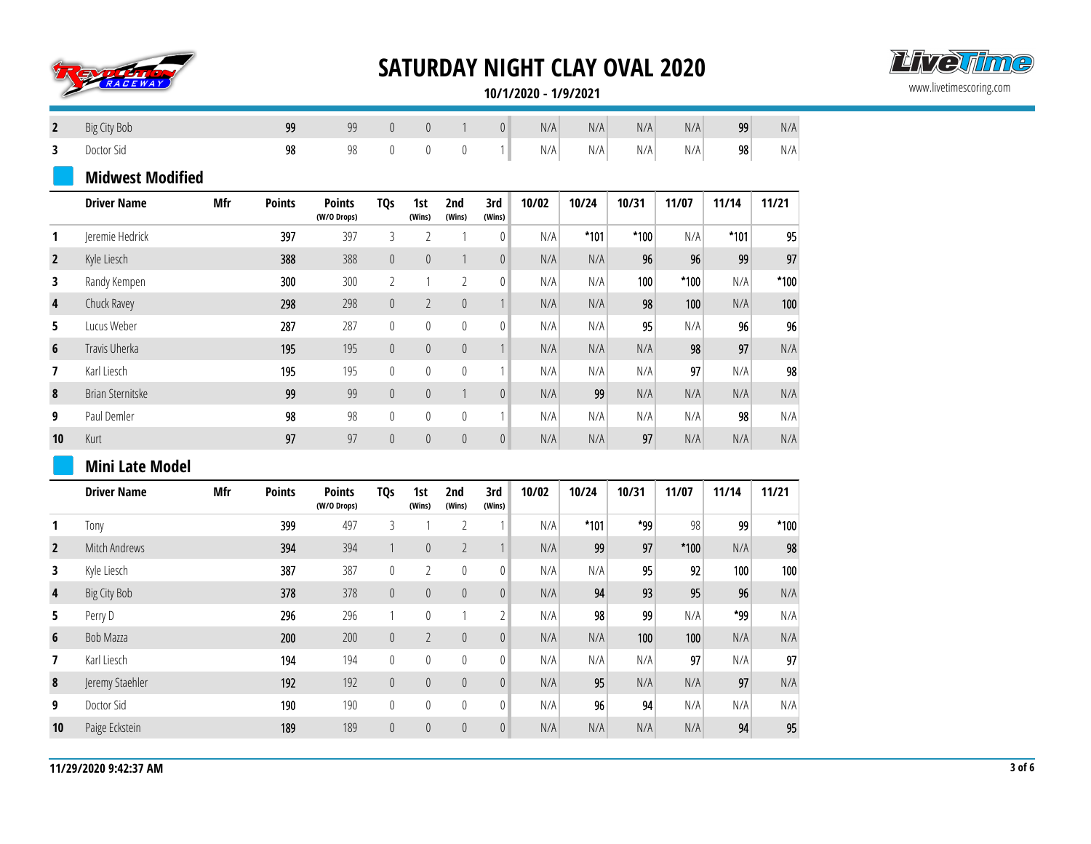



**10/1/2020 - 1/9/2021**

| $\overline{2}$ | Big City Bob            |     | 99            | 99                           | $\mathbf 0$      | $\mathbb O$    | $\mathbf{1}$     | $\boldsymbol{0}$ | N/A   | N/A    | N/A    | N/A    | 99     | N/A                     |
|----------------|-------------------------|-----|---------------|------------------------------|------------------|----------------|------------------|------------------|-------|--------|--------|--------|--------|-------------------------|
| 3              | Doctor Sid              |     | 98            | 98                           | $\mathbb O$      | $\pmb{0}$      | $\boldsymbol{0}$ | $\left  \right $ | N/A   | N/A    | N/A    | N/A    | 98     | $\mathsf{N}/\mathsf{A}$ |
|                | <b>Midwest Modified</b> |     |               |                              |                  |                |                  |                  |       |        |        |        |        |                         |
|                | <b>Driver Name</b>      | Mfr | <b>Points</b> | <b>Points</b><br>(W/O Drops) | <b>TQs</b>       | 1st<br>(Wins)  | 2nd<br>(Wins)    | 3rd<br>(Wins)    | 10/02 | 10/24  | 10/31  | 11/07  | 11/14  | 11/21                   |
| 1              | Jeremie Hedrick         |     | 397           | 397                          | 3                | $\overline{2}$ | $\mathbf{1}$     | $\mathbf{0}$     | N/A   | $*101$ | $*100$ | N/A    | $*101$ | 95                      |
| $\overline{2}$ | Kyle Liesch             |     | 388           | 388                          | $\mathbf 0$      | $\mathbb O$    | $\mathbf{1}$     | $\pmb{0}$        | N/A   | N/A    | 96     | 96     | 99     | 97                      |
| 3              | Randy Kempen            |     | 300           | 300                          | $\overline{2}$   | $\mathbf{1}$   | $\overline{2}$   | $\mathbf{0}$     | N/A   | N/A    | 100    | $*100$ | N/A    | $*100$                  |
| 4              | Chuck Ravey             |     | 298           | 298                          | $\mathbf 0$      | $\overline{2}$ | $\mathbb O$      | $\mathbf{1}$     | N/A   | N/A    | 98     | 100    | N/A    | 100                     |
| 5              | Lucus Weber             |     | 287           | 287                          | $\boldsymbol{0}$ | $\mathbf 0$    | $\pmb{0}$        | $\pmb{0}$        | N/A   | N/A    | 95     | N/A    | 96     | 96                      |
| $6\phantom{1}$ | Travis Uherka           |     | 195           | 195                          | $\pmb{0}$        | $\theta$       | $\theta$         | $\mathbf{1}$     | N/A   | N/A    | N/A    | 98     | 97     | N/A                     |
| 7              | Karl Liesch             |     | 195           | 195                          | $\mathbb{0}$     | $\mathbf{0}$   | $\theta$         | 1                | N/A   | N/A    | N/A    | 97     | N/A    | 98                      |
| $\pmb{8}$      | Brian Sternitske        |     | 99            | 99                           | $\mathbf 0$      | $\mathbf 0$    | $\mathbf{1}$     | $\pmb{0}$        | N/A   | 99     | N/A    | N/A    | N/A    | N/A                     |
| 9              | Paul Demler             |     | 98            | 98                           | $\boldsymbol{0}$ | $\mathbb O$    | $\theta$         | $\mathbf{1}$     | N/A   | N/A    | N/A    | N/A    | 98     | N/A                     |
| 10             | Kurt                    |     | 97            | 97                           | $\mathbf 0$      | $\mathbb O$    | $\mathbf 0$      | $\mathbf 0$      | N/A   | N/A    | 97     | N/A    | N/A    | N/A                     |
|                | <b>Mini Late Model</b>  |     |               |                              |                  |                |                  |                  |       |        |        |        |        |                         |
|                | <b>Driver Name</b>      | Mfr | <b>Points</b> | <b>Points</b><br>(W/O Drops) | <b>TQs</b>       | 1st<br>(Wins)  | 2nd<br>(Wins)    | 3rd<br>(Wins)    | 10/02 | 10/24  | 10/31  | 11/07  | 11/14  | 11/21                   |
| 1              | Tony                    |     | 399           | 497                          | $\mathfrak{Z}$   | $\mathbf{1}$   | $\overline{2}$   | 1                | N/A   | $*101$ | *99    | 98     | 99     | $*100$                  |
| $\overline{2}$ | Mitch Andrews           |     | 394           | 394                          | $\mathbf{1}$     | $\theta$       | $\overline{2}$   | $\mathbf{1}$     | N/A   | 99     | 97     | $*100$ | N/A    | 98                      |
| 3              | Kyle Liesch             |     | 387           | 387                          | $\pmb{0}$        | $\overline{2}$ | $\mathbf{0}$     | $\mathbf{0}$     | N/A   | N/A    | 95     | 92     | 100    | 100                     |
| $\pmb{4}$      | <b>Big City Bob</b>     |     | 378           | 378                          | $\mathbb O$      | $\theta$       | $\mathbf{0}$     | $\pmb{0}$        | N/A   | 94     | 93     | 95     | 96     | N/A                     |
| 5              | Perry D                 |     | 296           | 296                          | $\mathbf{1}$     | $\mathbb{0}$   | $\mathbf{1}$     | $\overline{2}$   | N/A   | 98     | 99     | N/A    | *99    | N/A                     |
| 6              | Bob Mazza               |     | 200           | 200                          | $\mathbf 0$      | $\overline{2}$ | $\theta$         | $\pmb{0}$        | N/A   | N/A    | 100    | 100    | N/A    | N/A                     |
| 7              | Karl Liesch             |     | 194           | 194                          | $\pmb{0}$        | $\mathbf 0$    | $\boldsymbol{0}$ | 0                | N/A   | N/A    | N/A    | 97     | N/A    | 97                      |
| 8              | Jeremy Staehler         |     | 192           | 192                          | $\pmb{0}$        | $\theta$       | $\theta$         | $\pmb{0}$        | N/A   | 95     | N/A    | N/A    | 97     | N/A                     |
| 9              | Doctor Sid              |     | 190           | 190                          | $\pmb{0}$        | $\mathbf 0$    | $\mathbf{0}$     | 0                | N/A   | 96     | 94     | N/A    | N/A    | N/A                     |
| 10             | Paige Eckstein          |     | 189           | 189                          | $\pmb{0}$        | $\theta$       | $\theta$         | $\pmb{0}$        | N/A   | N/A    | N/A    | N/A    | 94     | 95                      |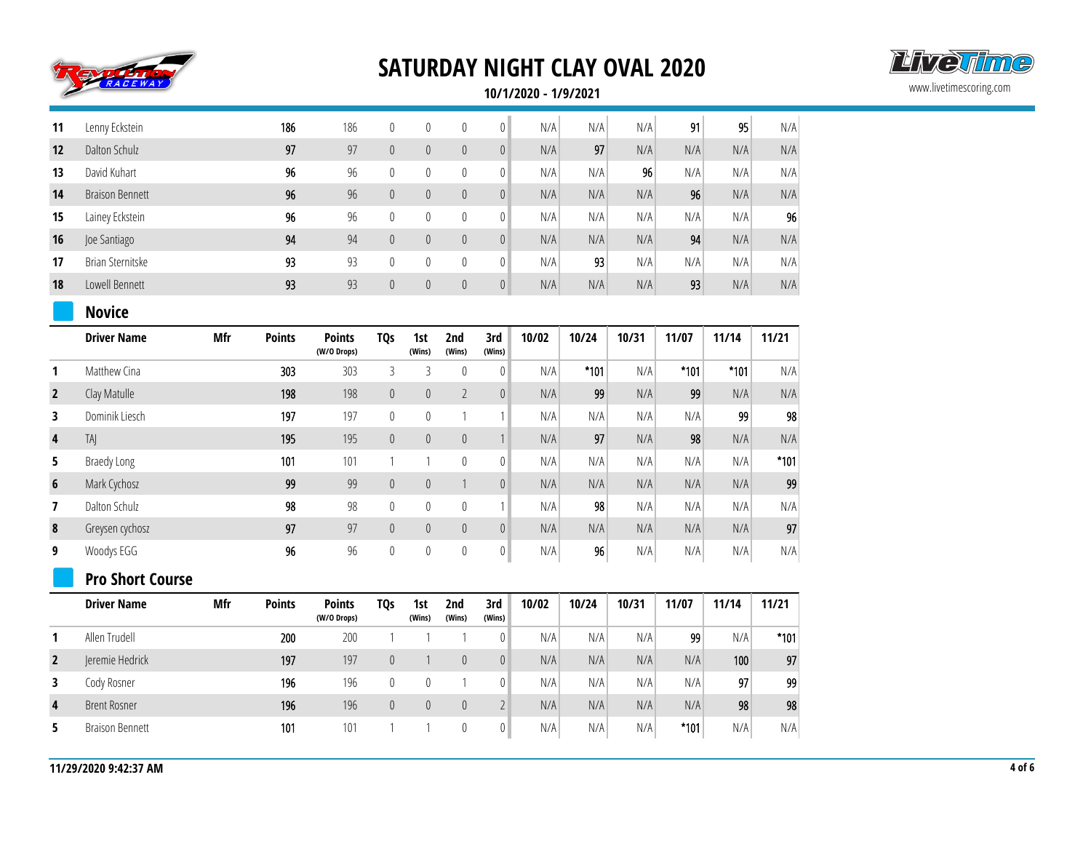



**10/1/2020 - 1/9/2021**

| 11             | Lenny Eckstein          |     | 186           | 186                          | $\pmb{0}$        | $\mathbf{0}$     | $\theta$         | $\mathbb O$      | N/A   | N/A    | N/A   | 91     | 95     | N/A    |
|----------------|-------------------------|-----|---------------|------------------------------|------------------|------------------|------------------|------------------|-------|--------|-------|--------|--------|--------|
| 12             | Dalton Schulz           |     | 97            | 97                           | $\mathbb O$      | $\pmb{0}$        | $\theta$         | $\mathbf{0}$     | N/A   | 97     | N/A   | N/A    | N/A    | N/A    |
| 13             | David Kuhart            |     | 96            | 96                           | $\mathbb O$      | $\mathbf 0$      | $\mathbf{0}$     | $\mathbf{0}$     | N/A   | N/A    | 96    | N/A    | N/A    | N/A    |
| 14             | <b>Braison Bennett</b>  |     | 96            | 96                           | $\mathbb O$      | $\pmb{0}$        | $\pmb{0}$        | $\pmb{0}$        | N/A   | N/A    | N/A   | 96     | N/A    | N/A    |
| 15             | Lainey Eckstein         |     | 96            | 96                           | $\mathbb O$      | $\mathbf 0$      | $\mathbf{0}$     | $\mathbb O$      | N/A   | N/A    | N/A   | N/A    | N/A    | 96     |
| 16             | Joe Santiago            |     | 94            | 94                           | $\mathbf 0$      | $\boldsymbol{0}$ | $\boldsymbol{0}$ | $\mathbb O$      | N/A   | N/A    | N/A   | 94     | N/A    | N/A    |
| 17             | Brian Sternitske        |     | 93            | 93                           | $\boldsymbol{0}$ | $\mathbf 0$      | $\theta$         | $\mathbb O$      | N/A   | 93     | N/A   | N/A    | N/A    | N/A    |
| 18             | Lowell Bennett          |     | 93            | 93                           | $\mathbf 0$      | $\overline{0}$   | $\theta$         | $\mathbf 0$      | N/A   | N/A    | N/A   | 93     | N/A    | N/A    |
|                | <b>Novice</b>           |     |               |                              |                  |                  |                  |                  |       |        |       |        |        |        |
|                | <b>Driver Name</b>      | Mfr | <b>Points</b> | <b>Points</b><br>(W/O Drops) | <b>TQs</b>       | 1st<br>(Wins)    | 2nd<br>(Wins)    | 3rd<br>(Wins)    | 10/02 | 10/24  | 10/31 | 11/07  | 11/14  | 11/21  |
| 1              | Matthew Cina            |     | 303           | 303                          | $\mathfrak{Z}$   | 3                | $\theta$         | $\mathbf{0}$     | N/A   | $*101$ | N/A   | $*101$ | $*101$ | N/A    |
| $\mathbf{2}$   | Clay Matulle            |     | 198           | 198                          | $\mathbf 0$      | $\pmb{0}$        | $\overline{2}$   | $\mathbf{0}$     | N/A   | 99     | N/A   | 99     | N/A    | N/A    |
| 3              | Dominik Liesch          |     | 197           | 197                          | $\boldsymbol{0}$ | $\pmb{0}$        | $\mathbf{1}$     | 1                | N/A   | N/A    | N/A   | N/A    | 99     | 98     |
| 4              | TAI                     |     | 195           | 195                          | $\mathbb O$      | $\pmb{0}$        | $\theta$         | $\mathbf{1}$     | N/A   | 97     | N/A   | 98     | N/A    | N/A    |
| 5              | <b>Braedy Long</b>      |     | 101           | 101                          | $\mathbf{1}$     | $\mathbf{1}$     | $\mathbf{0}$     | $\mathbb O$      | N/A   | N/A    | N/A   | N/A    | N/A    | $*101$ |
| $6\phantom{1}$ | Mark Cychosz            |     | 99            | 99                           | $\boldsymbol{0}$ | $\boldsymbol{0}$ | $\mathbf{1}$     | $\pmb{0}$        | N/A   | N/A    | N/A   | N/A    | N/A    | 99     |
| $\overline{7}$ | Dalton Schulz           |     | 98            | 98                           | $\boldsymbol{0}$ | $\mathbf 0$      | $\mathbf{0}$     | $\mathbf{1}$     | N/A   | 98     | N/A   | N/A    | N/A    | N/A    |
| $\pmb{8}$      | Greysen cychosz         |     | 97            | 97                           | $\mathbb O$      | $\pmb{0}$        | $\pmb{0}$        | $\mathbf 0$      | N/A   | N/A    | N/A   | N/A    | N/A    | 97     |
| 9              | Woodys EGG              |     | 96            | 96                           | $\mathbb O$      | $\mathbf 0$      | $\boldsymbol{0}$ | $\mathbf 0$      | N/A   | 96     | N/A   | N/A    | N/A    | N/A    |
|                | <b>Pro Short Course</b> |     |               |                              |                  |                  |                  |                  |       |        |       |        |        |        |
|                | <b>Driver Name</b>      | Mfr | <b>Points</b> | <b>Points</b><br>(W/O Drops) | <b>TQs</b>       | 1st<br>(Wins)    | 2nd<br>(Wins)    | 3rd<br>(Wins)    | 10/02 | 10/24  | 10/31 | 11/07  | 11/14  | 11/21  |
| $\mathbf{1}$   | Allen Trudell           |     | 200           | 200                          | $\mathbf{1}$     | $\mathbf{1}$     | 1                | $\mathbb O$      | N/A   | N/A    | N/A   | 99     | N/A    | $*101$ |
| $\mathbf{2}$   | Jeremie Hedrick         |     | 197           | 197                          | $\mathbf 0$      | $\mathbf{1}$     | $\pmb{0}$        | $\mathbb O$      | N/A   | N/A    | N/A   | N/A    | 100    | 97     |
| 3              | Cody Rosner             |     | 196           | 196                          | $\boldsymbol{0}$ | 0                | $\mathbf{1}$     | $\bf{0}$         | N/A   | N/A    | N/A   | N/A    | 97     | 99     |
| $\overline{4}$ | <b>Brent Rosner</b>     |     | 196           | 196                          | $\mathbf 0$      | $\pmb{0}$        | $\theta$         | $\overline{2}$   | N/A   | N/A    | N/A   | N/A    | 98     | 98     |
| 5              | <b>Braison Bennett</b>  |     | 101           | 101                          | $\mathbf{1}$     | $\mathbf{1}$     | $\theta$         | $\boldsymbol{0}$ | N/A   | N/A    | N/A   | $*101$ | N/A    | N/A    |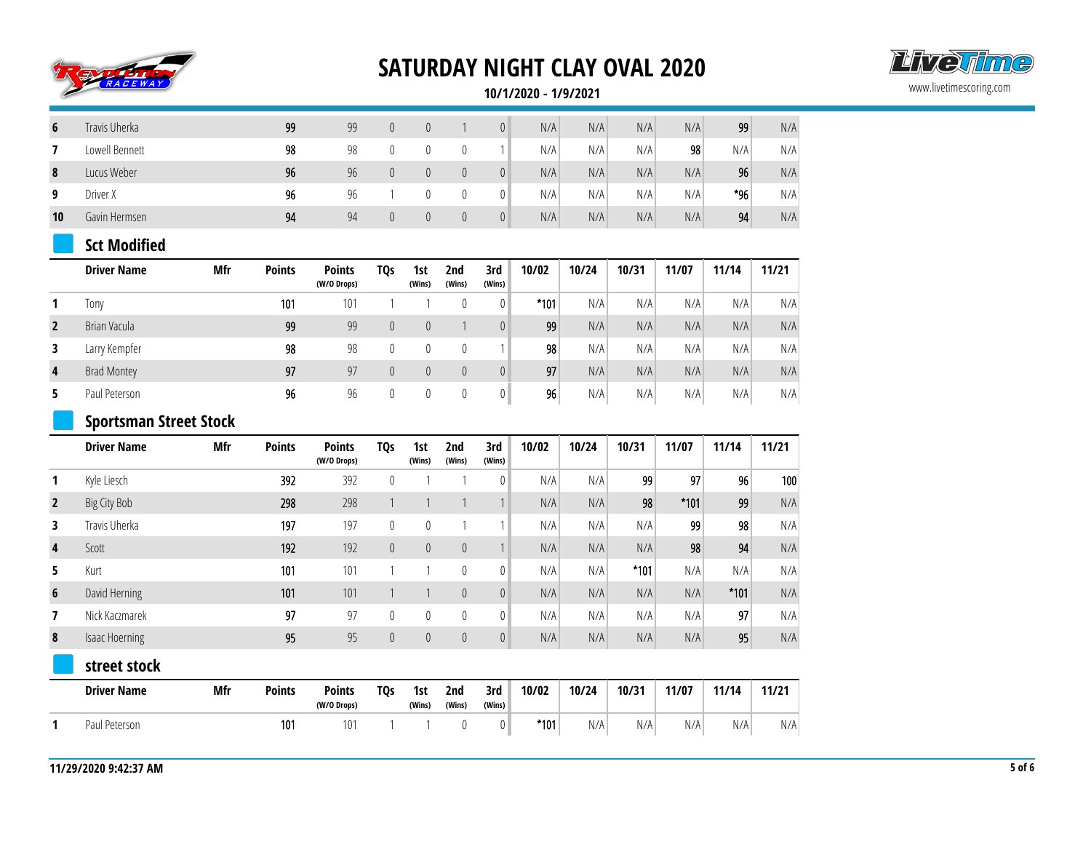



**10/1/2020 - 1/9/2021**

| 6  | Travis Uherka  | 99 | 99 | $\theta$ | $\Omega$ | $\overline{0}$ | N/A | N/A | N/A | N/A | 99  | N/A |
|----|----------------|----|----|----------|----------|----------------|-----|-----|-----|-----|-----|-----|
|    | Lowell Bennett | 98 | 98 |          |          |                | N/A | N/A | N/A | 98  | N/A | N/A |
| 8  | Lucus Weber    | 96 | 96 |          |          | $\overline{0}$ | N/A | N/A | N/A | N/A | 96  | N/A |
| 9  | Driver X       | 96 | 96 |          |          | $\overline{0}$ | N/A | N/A | N/A | N/A | *96 | N/A |
| 10 | Gavin Hermsen  | 94 | 94 |          |          | $\overline{0}$ | N/A | N/A | N/A | N/A | 94  | N/A |

#### **Sct Modified**

|                | <b>Driver Name</b> | Mfr | <b>Points</b> | <b>Points</b><br>(W/O Drops) | TQs | 1st<br>(Wins) | 2nd<br>(Wins) | 3rd<br>(Wins)  | 10/02           | 10/24 | 10/31 | 11/07 | 11/14 | 11/21 |
|----------------|--------------------|-----|---------------|------------------------------|-----|---------------|---------------|----------------|-----------------|-------|-------|-------|-------|-------|
|                | Tony               |     | 101           | 101                          |     |               |               |                | $*101$          | N/A   | N/A   | N/A   | N/A   | N/A   |
| $\overline{2}$ | Brian Vacula       |     | 99            | 99                           |     |               |               |                | 99              | N/A   | N/A   | N/A   | N/A   | N/A   |
| 3              | Larry Kempfer      |     | 98            | 98                           | 0   |               |               |                | 98              | N/A   | N/A   | N/A   | N/A   | N/A   |
| 4              | <b>Brad Montey</b> |     | 97            | 97                           | 0   |               |               | $\overline{0}$ | 97              | N/A   | N/A   | N/A   | N/A   | N/A   |
| 5              | Paul Peterson      |     | 96            | 96                           |     |               |               |                | 96 <sub>1</sub> | N/A   | N/A   | N/A   | N/A   | N/A   |

#### **Sportsman Street Stock**

|                | <b>Driver Name</b>    | Mfr        | <b>Points</b> | <b>Points</b><br>(W/O Drops) | TQs              | 1st<br>(Wins) | 2nd<br>(Wins)  | 3rd<br>(Wins)  | 10/02  | 10/24 | 10/31  | 11/07  | 11/14  | 11/21 |
|----------------|-----------------------|------------|---------------|------------------------------|------------------|---------------|----------------|----------------|--------|-------|--------|--------|--------|-------|
|                | Kyle Liesch           |            | 392           | 392                          | $\boldsymbol{0}$ |               |                | $\theta$       | N/A    | N/A   | 99     | 97     | 96     | 100   |
| $\overline{2}$ | Big City Bob          |            | 298           | 298                          |                  |               |                |                | N/A    | N/A   | 98     | $*101$ | 99     | N/A   |
| 3              | Travis Uherka         |            | 197           | 197                          | $\pmb{0}$        | $\theta$      |                |                | N/A    | N/A   | N/A    | 99     | 98     | N/A   |
| 4              | Scott                 |            | 192           | 192                          | $\theta$         | $\theta$      | $\theta$       |                | N/A    | N/A   | N/A    | 98     | 94     | N/A   |
| 5              | Kurt                  |            | 101           | 101                          |                  |               | $\mathbf{0}$   | 0              | N/A    | N/A   | $*101$ | N/A    | N/A    | N/A   |
| 6              | David Herning         |            | 101           | 101                          |                  |               | $\overline{0}$ | $\overline{0}$ | N/A    | N/A   | N/A    | N/A    | $*101$ | N/A   |
| 7              | Nick Kaczmarek        |            | 97            | 97                           | $\mathbf{0}$     | 0             | $\mathbf{0}$   | 0              | N/A    | N/A   | N/A    | N/A    | 97     | N/A   |
| 8              | <b>Isaac Hoerning</b> |            | 95            | 95                           | $\pmb{0}$        | 0             | $\theta$       | $\overline{0}$ | N/A    | N/A   | N/A    | N/A    | 95     | N/A   |
|                | street stock          |            |               |                              |                  |               |                |                |        |       |        |        |        |       |
|                | <b>Driver Name</b>    | <b>Mfr</b> | <b>Points</b> | <b>Points</b><br>(W/O Drops) | TQ <sub>S</sub>  | 1st<br>(Wins) | 2nd<br>(Wins)  | 3rd<br>(Wins)  | 10/02  | 10/24 | 10/31  | 11/07  | 11/14  | 11/21 |
|                | Paul Peterson         |            | 101           | 101                          |                  |               | 0              | $\theta$       | $*101$ | N/A   | N/A    | N/A    | N/A    | N/A   |